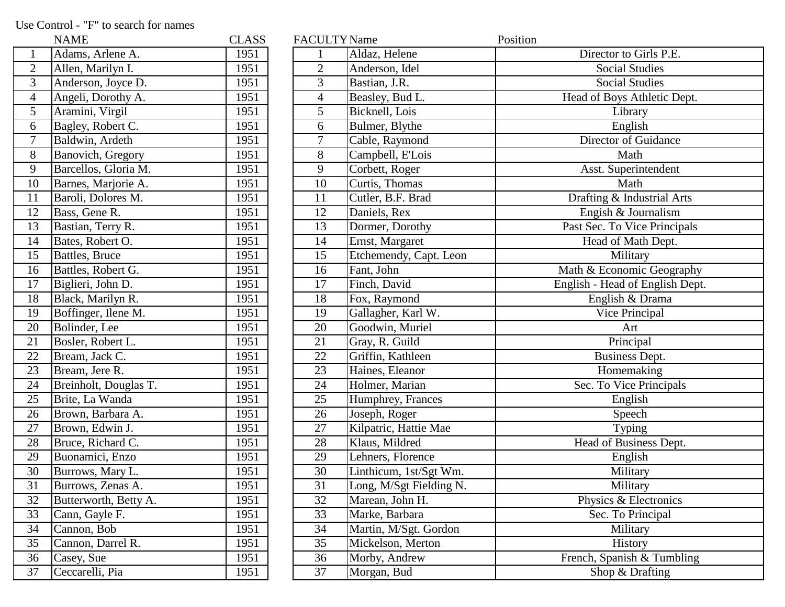Use Control - "F" to search for names

|                         | NAME                  | CLAS: |
|-------------------------|-----------------------|-------|
| $\mathbf{1}$            | Adams, Arlene A.      | 1951  |
| $\overline{\mathbf{c}}$ | Allen, Marilyn I.     | 1951  |
| $\overline{3}$          | Anderson, Joyce D.    | 1951  |
| $\overline{4}$          | Angeli, Dorothy A.    | 1951  |
| 5                       | Aramini, Virgil       | 1951  |
| $\overline{6}$          | Bagley, Robert C.     | 1951  |
| 7                       | Baldwin, Ardeth       | 1951  |
| 8                       | Banovich, Gregory     | 1951  |
| 9                       | Barcellos, Gloria M.  | 1951  |
| 10                      | Barnes, Marjorie A.   | 1951  |
| 11                      | Baroli, Dolores M.    | 1951  |
| 12                      | Bass, Gene R.         | 1951  |
| 13                      | Bastian, Terry R.     | 1951  |
| 14                      | Bates, Robert O.      | 1951  |
| 15                      | Battles, Bruce        | 1951  |
| 16                      | Battles, Robert G.    | 1951  |
| 17                      | Biglieri, John D.     | 1951  |
| 18                      | Black, Marilyn R.     | 1951  |
| 19                      | Boffinger, Ilene M.   | 1951  |
| 20                      | Bolinder, Lee         | 1951  |
| 21                      | Bosler, Robert L.     | 1951  |
| 22                      | Bream, Jack C.        | 1951  |
| 23                      | Bream, Jere R.        | 1951  |
| $\overline{24}$         | Breinholt, Douglas T. | 1951  |
| 25                      | Brite, La Wanda       | 1951  |
| 26                      | Brown, Barbara A.     | 1951  |
| 27                      | Brown, Edwin J.       | 1951  |
| 28                      | Bruce, Richard C.     | 1951  |
| 29                      | Buonamici, Enzo       | 1951  |
| 30                      | Burrows, Mary L.      | 1951  |
| 31                      | Burrows, Zenas A.     | 1951  |
| 32                      | Butterworth, Betty A. | 1951  |
| 33                      | Cann, Gayle F.        | 1951  |
| 34                      | Cannon, Bob           | 1951  |
| 35                      | Cannon, Darrel R.     | 1951  |
| 36                      | Casey, Sue            | 1951  |
| 37                      | Ceccarelli, Pia       | 1951  |

|                 | <b>NAME</b>           | <b>CLASS</b> | <b>FACULTY Name</b> |                         | Position                        |
|-----------------|-----------------------|--------------|---------------------|-------------------------|---------------------------------|
| $\mathbf{1}$    | Adams, Arlene A.      | 1951         |                     | Aldaz, Helene           | Director to Girls P.E.          |
|                 | Allen, Marilyn I.     | 1951         | $\overline{2}$      | Anderson, Idel          | <b>Social Studies</b>           |
| $\overline{3}$  | Anderson, Joyce D.    | 1951         | 3                   | Bastian, J.R.           | <b>Social Studies</b>           |
| $\overline{4}$  | Angeli, Dorothy A.    | 1951         | 4                   | Beasley, Bud L.         | Head of Boys Athletic Dept.     |
| $\overline{5}$  | Aramini, Virgil       | 1951         | 5                   | Bicknell, Lois          | Library                         |
| $\overline{6}$  | Bagley, Robert C.     | 1951         | 6                   | Bulmer, Blythe          | English                         |
| $\overline{7}$  | Baldwin, Ardeth       | 1951         | 7                   | Cable, Raymond          | Director of Guidance            |
| 8               | Banovich, Gregory     | 1951         | 8                   | Campbell, E'Lois        | Math                            |
| 9               | Barcellos, Gloria M.  | 1951         | 9                   | Corbett, Roger          | Asst. Superintendent            |
| 10              | Barnes, Marjorie A.   | 1951         | 10                  | Curtis, Thomas          | Math                            |
| 11              | Baroli, Dolores M.    | 1951         | 11                  | Cutler, B.F. Brad       | Drafting & Industrial Arts      |
| 12              | Bass, Gene R.         | 1951         | 12                  | Daniels, Rex            | Engish & Journalism             |
| 13              | Bastian, Terry R.     | 1951         | 13                  | Dormer, Dorothy         | Past Sec. To Vice Principals    |
| 14              | Bates, Robert O.      | 1951         | 14                  | Ernst, Margaret         | Head of Math Dept.              |
| 15              | Battles, Bruce        | 1951         | 15                  | Etchemendy, Capt. Leon  | Military                        |
| 16              | Battles, Robert G.    | 1951         | 16                  | Fant, John              | Math & Economic Geography       |
| 17              | Biglieri, John D.     | 1951         | 17                  | Finch, David            | English - Head of English Dept. |
| 18              | Black, Marilyn R.     | 1951         | 18                  | Fox, Raymond            | English & Drama                 |
| 19              | Boffinger, Ilene M.   | 1951         | 19                  | Gallagher, Karl W.      | Vice Principal                  |
| 20              | Bolinder, Lee         | 1951         | 20                  | Goodwin, Muriel         | Art                             |
| $\overline{21}$ | Bosler, Robert L.     | 1951         | 21                  | Gray, R. Guild          | Principal                       |
| $\overline{22}$ | Bream, Jack C.        | 1951         | 22                  | Griffin, Kathleen       | Business Dept.                  |
| 23              | Bream, Jere R.        | 1951         | 23                  | Haines, Eleanor         | Homemaking                      |
| 24              | Breinholt, Douglas T. | 1951         | 24                  | Holmer, Marian          | Sec. To Vice Principals         |
| 25              | Brite, La Wanda       | 1951         | 25                  | Humphrey, Frances       | English                         |
| 26              | Brown, Barbara A.     | 1951         | 26                  | Joseph, Roger           | Speech                          |
| 27              | Brown, Edwin J.       | 1951         | 27                  | Kilpatric, Hattie Mae   | Typing                          |
| 28              | Bruce, Richard C.     | 1951         | 28                  | Klaus, Mildred          | Head of Business Dept.          |
| 29              | Buonamici, Enzo       | 1951         | 29                  | Lehners, Florence       | English                         |
| 30              | Burrows, Mary L.      | 1951         | 30                  | Linthicum, 1st/Sgt Wm.  | Military                        |
| 31              | Burrows, Zenas A.     | 1951         | 31                  | Long, M/Sgt Fielding N. | Military                        |
| $\overline{32}$ | Butterworth, Betty A. | 1951         | 32                  | Marean, John H.         | Physics & Electronics           |
| 33              | Cann, Gayle F.        | 1951         | 33                  | Marke, Barbara          | Sec. To Principal               |
| 34              | Cannon, Bob           | 1951         | 34                  | Martin, M/Sgt. Gordon   | Military                        |
| 35              | Cannon, Darrel R.     | 1951         | 35                  | Mickelson, Merton       | History                         |
| $\overline{36}$ | Casey, Sue            | 1951         | 36                  | Morby, Andrew           | French, Spanish & Tumbling      |
| 37              | Ceccarelli, Pia       | 1951         | 37                  | Morgan, Bud             | Shop $&$ Drafting               |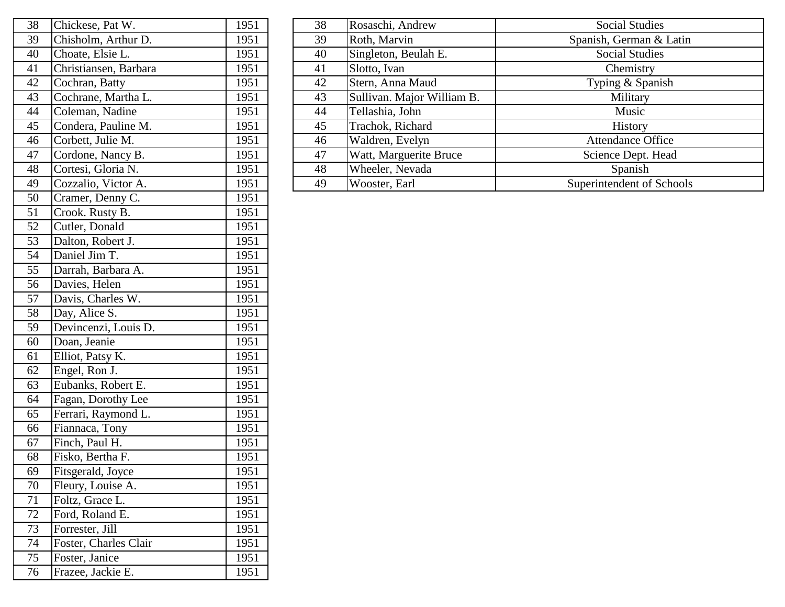| 38 | Chickese, Pat W.      | 1951 |
|----|-----------------------|------|
| 39 | Chisholm, Arthur D.   | 1951 |
| 40 | Choate, Elsie L.      | 1951 |
| 41 | Christiansen, Barbara | 1951 |
| 42 | Cochran, Batty        | 1951 |
| 43 | Cochrane, Martha L.   | 1951 |
| 44 | Coleman, Nadine       | 1951 |
| 45 | Condera, Pauline M.   | 1951 |
| 46 | Corbett, Julie M.     | 1951 |
| 47 | Cordone, Nancy B.     | 1951 |
| 48 | Cortesi, Gloria N.    | 1951 |
| 49 | Cozzalio, Victor A.   | 1951 |
| 50 | Cramer, Denny C.      | 1951 |
| 51 | Crook. Rusty B.       | 1951 |
| 52 | Cutler, Donald        | 1951 |
| 53 | Dalton, Robert J.     | 1951 |
| 54 | Daniel Jim T.         | 1951 |
| 55 | Darrah, Barbara A.    | 1951 |
| 56 | Davies, Helen         | 1951 |
| 57 | Davis, Charles W.     | 1951 |
| 58 | Day, Alice S.         | 1951 |
| 59 | Devincenzi, Louis D.  | 1951 |
| 60 | Doan, Jeanie          | 1951 |
| 61 | Elliot, Patsy K.      | 1951 |
| 62 | Engel, Ron J.         | 1951 |
| 63 | Eubanks, Robert E.    | 1951 |
| 64 | Fagan, Dorothy Lee    | 1951 |
| 65 | Ferrari, Raymond L.   | 1951 |
| 66 | Fiannaca, Tony        | 1951 |
| 67 | Finch, Paul H.        | 1951 |
| 68 | Fisko, Bertha F.      | 1951 |
| 69 | Fitsgerald, Joyce     | 1951 |
| 70 | Fleury, Louise A.     | 1951 |
| 71 | Foltz, Grace L.       | 1951 |
| 72 | Ford, Roland E.       | 1951 |
| 73 | Forrester, Jill       | 1951 |
| 74 | Foster, Charles Clair | 1951 |
| 75 | Foster, Janice        | 1951 |
| 76 | Frazee, Jackie E.     | 1951 |

| 38 | Chickese, Pat W.      | 1951 | 38 | Rosaschi, Andrew           | <b>Social Studies</b>     |
|----|-----------------------|------|----|----------------------------|---------------------------|
| 39 | Chisholm, Arthur D.   | 1951 | 39 | Roth, Marvin               | Spanish, German & Latin   |
| 40 | Choate, Elsie L.      | 1951 | 40 | Singleton, Beulah E.       | <b>Social Studies</b>     |
| 41 | Christiansen, Barbara | 1951 | 41 | Slotto, Ivan               | Chemistry                 |
| 42 | Cochran, Batty        | 1951 | 42 | Stern, Anna Maud           | Typing & Spanish          |
| 43 | Cochrane, Martha L.   | 1951 | 43 | Sullivan. Major William B. | Military                  |
| 44 | Coleman, Nadine       | 1951 | 44 | Tellashia, John            | Music                     |
| 45 | Condera, Pauline M.   | 1951 | 45 | Trachok, Richard           | <b>History</b>            |
| 46 | Corbett, Julie M.     | 1951 | 46 | Waldren, Evelyn            | <b>Attendance Office</b>  |
| 47 | Cordone, Nancy B.     | 1951 | 47 | Watt, Marguerite Bruce     | Science Dept. Head        |
| 48 | Cortesi, Gloria N.    | 1951 | 48 | Wheeler, Nevada            | Spanish                   |
| 49 | Cozzalio, Victor A.   | 1951 | 49 | Wooster, Earl              | Superintendent of Schools |
|    |                       |      |    |                            |                           |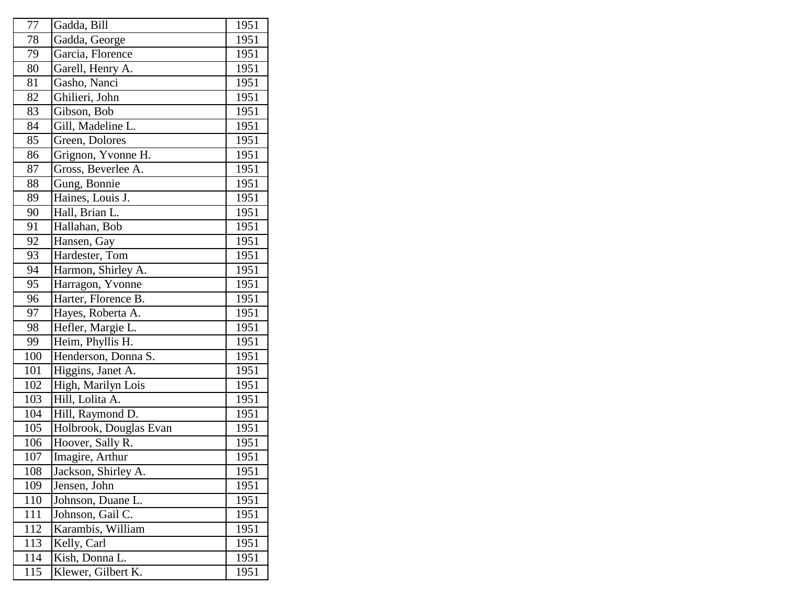| 77  | Gadda, Bill            | 1951 |
|-----|------------------------|------|
| 78  | Gadda, George          | 1951 |
| 79  | Garcia, Florence       | 1951 |
| 80  | Garell, Henry A.       | 1951 |
| 81  | Gasho, Nanci           | 1951 |
| 82  | Ghilieri, John         | 1951 |
| 83  | Gibson, Bob            | 1951 |
| 84  | Gill, Madeline L.      | 1951 |
| 85  | Green, Dolores         | 1951 |
| 86  | Grignon, Yvonne H.     | 1951 |
| 87  | Gross, Beverlee A.     | 1951 |
| 88  | Gung, Bonnie           | 1951 |
| 89  | Haines, Louis J.       | 1951 |
| 90  | Hall, Brian L.         | 1951 |
| 91  | Hallahan, Bob          | 1951 |
| 92  | Hansen, Gay            | 1951 |
| 93  | Hardester, Tom         | 1951 |
| 94  | Harmon, Shirley A.     | 1951 |
| 95  | Harragon, Yvonne       | 1951 |
| 96  | Harter, Florence B.    | 1951 |
| 97  | Hayes, Roberta A.      | 1951 |
| 98  | Hefler, Margie L.      | 1951 |
| 99  | Heim, Phyllis H.       | 1951 |
| 100 | Henderson, Donna S.    | 1951 |
| 101 | Higgins, Janet A.      | 1951 |
| 102 | High, Marilyn Lois     | 1951 |
| 103 | Hill, Lolita A.        | 1951 |
| 104 | Hill, Raymond D.       | 1951 |
| 105 | Holbrook, Douglas Evan | 1951 |
| 106 | Hoover, Sally R.       | 1951 |
| 107 | Imagire, Arthur        | 1951 |
| 108 | Jackson, Shirley A.    | 1951 |
| 109 | Jensen, John           | 1951 |
| 110 | Johnson, Duane L.      | 1951 |
| 111 | Johnson, Gail C.       | 1951 |
| 112 | Karambis, William      | 1951 |
| 113 | Kelly, Carl            | 1951 |
| 114 | Kish, Donna L.         | 1951 |
| 115 | Klewer, Gilbert K.     | 1951 |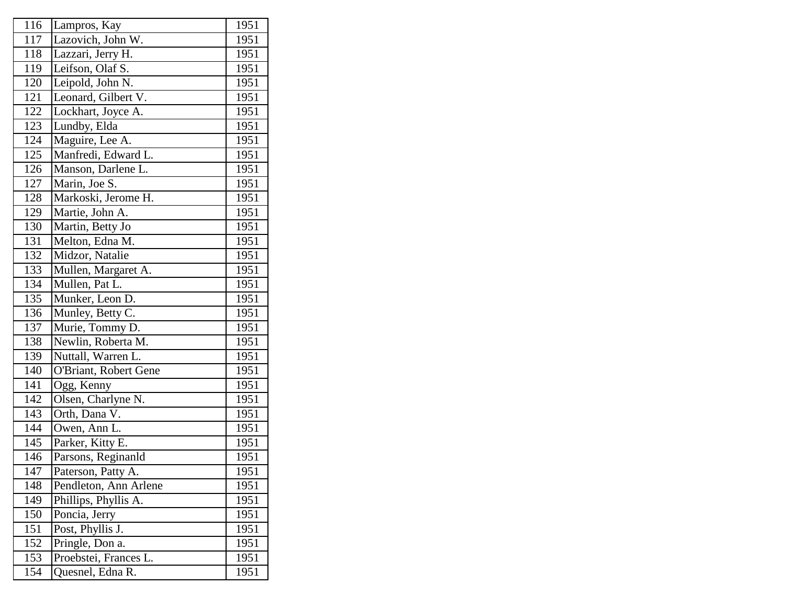| 116            | Lampros, Kay          | 1951              |
|----------------|-----------------------|-------------------|
| 117            | Lazovich, John W.     | 1951              |
| 118            | Lazzari, Jerry H.     | 1951              |
| <sup>119</sup> | Leifson, Olaf S.      | 1951              |
| 120            | Leipold, John N.      | 1951              |
| 121            | Leonard, Gilbert V.   | 1951              |
| 122            | Lockhart, Joyce A.    | 1951              |
| 123            | Lundby, Elda          | 1951              |
| 124            | Maguire, Lee A.       | 1951              |
| 125            | Manfredi, Edward L.   | 1951              |
| 126            | Manson, Darlene L.    | 1951              |
| 127            | Marin, Joe S.         | 1951              |
| 128            | Markoski, Jerome H.   | 1951              |
| 129            | Martie, John A.       | 1951              |
| 130            | Martin, Betty Jo      | 1951              |
| 131            | Melton, Edna M.       | 1951              |
| 132            | Midzor, Natalie       | 1951              |
| 133            | Mullen, Margaret A.   | 1951              |
| 134            | Mullen, Pat L.        | 1951              |
| 135            | Munker, Leon D.       | 1951              |
| 136            | Munley, Betty C.      | 1951              |
| 137            | Murie, Tommy D.       | 1951              |
| 138            | Newlin, Roberta M.    | $195\overline{1}$ |
| 139            | Nuttall, Warren L.    | 1951              |
| 140            | O'Briant, Robert Gene | 1951              |
| 141            | Ogg, Kenny            | 1951              |
| 142            | Olsen, Charlyne N.    | 1951              |
| 143            | Orth, Dana V.         | 1951              |
| 144            | Owen, Ann L.          | 1951              |
| 145            | Parker, Kitty E.      | 1951              |
| 146            | Parsons, Reginanld    | 1951              |
| 147            | Paterson, Patty A.    | 1951              |
| 148            | Pendleton, Ann Arlene | 1951              |
| 149            | Phillips, Phyllis A.  | 1951              |
| 150            | Poncia, Jerry         | 1951              |
| 151            | Post, Phyllis J.      | 1951              |
| 152            | Pringle, Don a.       | 1951              |
| 153            | Proebstei, Frances L. | 1951              |
| 154            | Quesnel, Edna R.      | 1951              |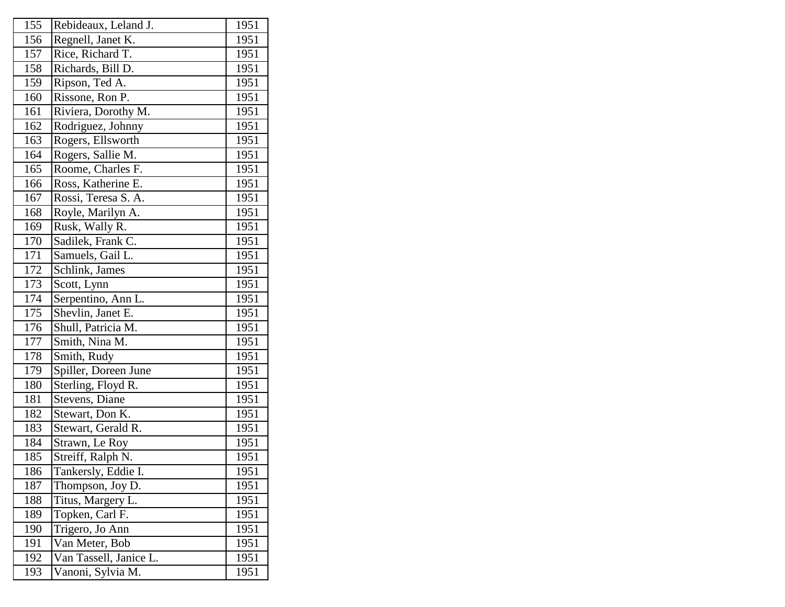| 155 | Rebideaux, Leland J.   | 1951 |
|-----|------------------------|------|
| 156 | Regnell, Janet K.      | 1951 |
| 157 | Rice, Richard T.       | 1951 |
| 158 | Richards, Bill D.      | 1951 |
| 159 | Ripson, Ted A.         | 1951 |
| 160 | Rissone, Ron P.        | 1951 |
| 161 | Riviera, Dorothy M.    | 1951 |
| 162 | Rodriguez, Johnny      | 1951 |
| 163 | Rogers, Ellsworth      | 1951 |
| 164 | Rogers, Sallie M.      | 1951 |
| 165 | Roome, Charles F.      | 1951 |
| 166 | Ross, Katherine E.     | 1951 |
| 167 | Rossi, Teresa S. A.    | 1951 |
| 168 | Royle, Marilyn A.      | 1951 |
| 169 | Rusk, Wally R.         | 1951 |
| 170 | Sadilek, Frank C.      | 1951 |
| 171 | Samuels, Gail L.       | 1951 |
| 172 | Schlink, James         | 1951 |
| 173 | Scott, Lynn            | 1951 |
| 174 | Serpentino, Ann L.     | 1951 |
| 175 | Shevlin, Janet E.      | 1951 |
| 176 | Shull, Patricia M.     | 1951 |
| 177 | Smith, Nina M.         | 1951 |
| 178 | Smith, Rudy            | 1951 |
| 179 | Spiller, Doreen June   | 1951 |
| 180 | Sterling, Floyd R.     | 1951 |
| 181 | Stevens, Diane         | 1951 |
| 182 | Stewart, Don K.        | 1951 |
| 183 | Stewart, Gerald R.     | 1951 |
| 184 | Strawn, Le Roy         | 1951 |
| 185 | Streiff, Ralph N.      | 1951 |
| 186 | Tankersly, Eddie I.    | 1951 |
| 187 | Thompson, Joy D.       | 1951 |
| 188 | Titus, Margery L.      | 1951 |
| 189 | Topken, Carl F.        | 1951 |
| 190 | Trigero, Jo Ann        | 1951 |
| 191 | Van Meter, Bob         | 1951 |
| 192 | Van Tassell, Janice L. | 1951 |
| 193 | Vanoni, Sylvia M.      | 1951 |